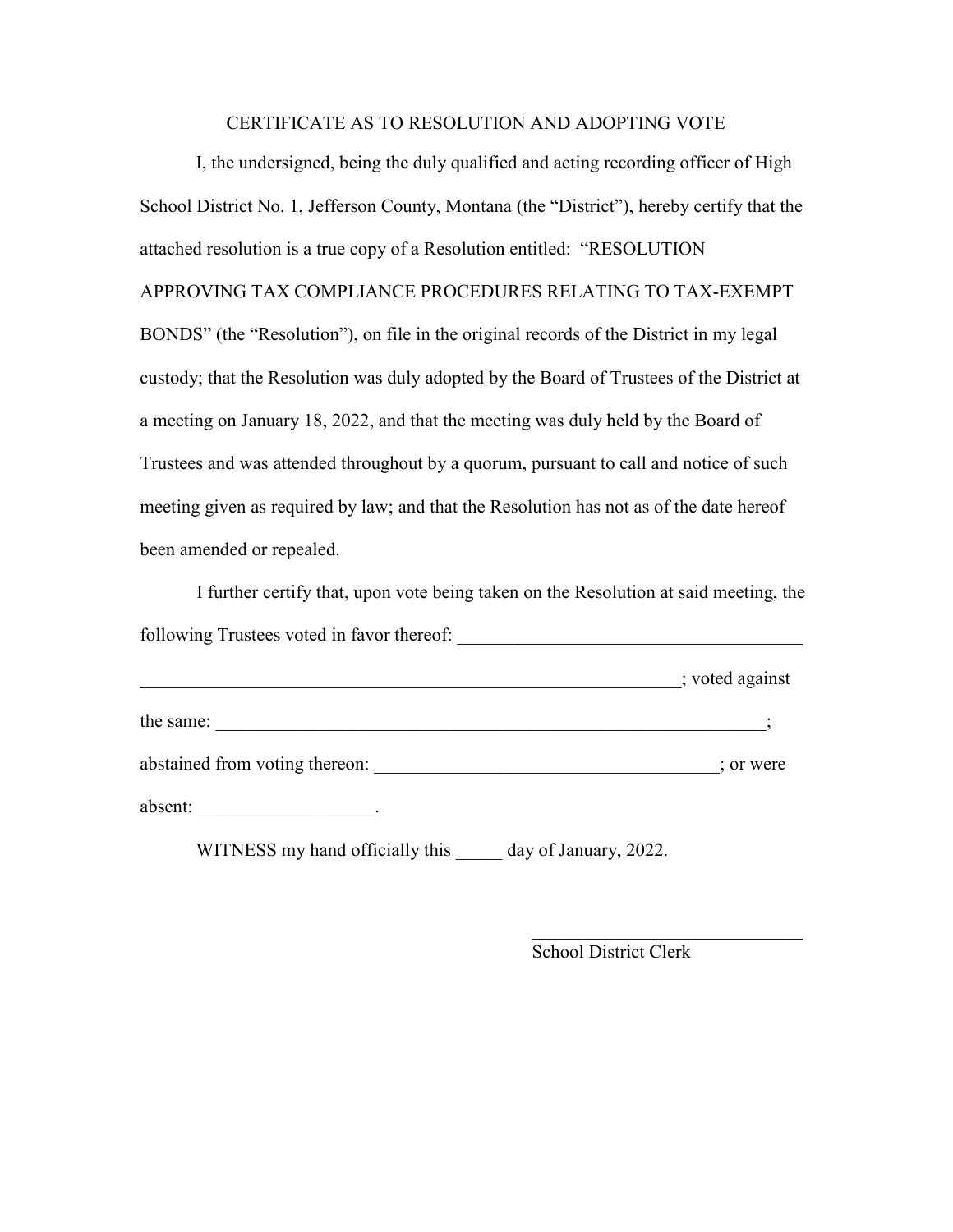### CERTIFICATE AS TO RESOLUTION AND ADOPTING VOTE

I, the undersigned, being the duly qualified and acting recording officer of High School District No. 1, Jefferson County, Montana (the "District"), hereby certify that the attached resolution is a true copy of a Resolution entitled: "RESOLUTION APPROVING TAX COMPLIANCE PROCEDURES RELATING TO TAX-EXEMPT BONDS" (the "Resolution"), on file in the original records of the District in my legal custody; that the Resolution was duly adopted by the Board of Trustees of the District at a meeting on January 18, 2022, and that the meeting was duly held by the Board of Trustees and was attended throughout by a quorum, pursuant to call and notice of such meeting given as required by law; and that the Resolution has not as of the date hereof been amended or repealed.

I further certify that, upon vote being taken on the Resolution at said meeting, the following Trustees voted in favor thereof: \_\_\_\_\_\_\_\_\_\_\_\_\_\_\_\_\_\_\_\_\_\_\_\_\_\_\_\_\_\_\_\_\_\_\_\_\_

|                                | ; voted against |
|--------------------------------|-----------------|
| the same:                      |                 |
| abstained from voting thereon: | ; or were       |
| absent:                        |                 |

WITNESS my hand officially this day of January, 2022.

School District Clerk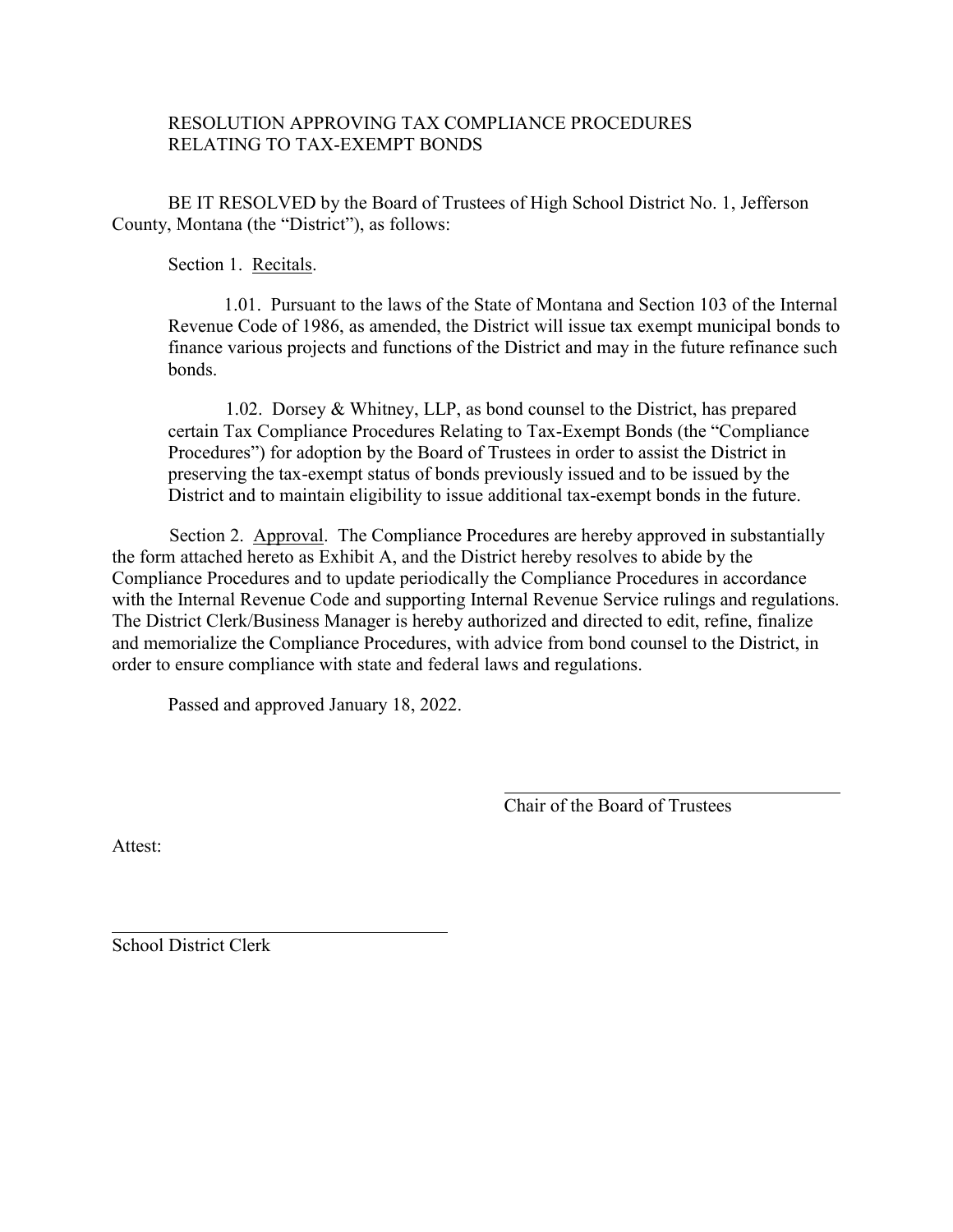### RESOLUTION APPROVING TAX COMPLIANCE PROCEDURES RELATING TO TAX-EXEMPT BONDS

BE IT RESOLVED by the Board of Trustees of High School District No. 1, Jefferson County, Montana (the "District"), as follows:

Section 1. Recitals.

1.01. Pursuant to the laws of the State of Montana and Section 103 of the Internal Revenue Code of 1986, as amended, the District will issue tax exempt municipal bonds to finance various projects and functions of the District and may in the future refinance such bonds.

1.02. Dorsey & Whitney, LLP, as bond counsel to the District, has prepared certain Tax Compliance Procedures Relating to Tax-Exempt Bonds (the "Compliance Procedures") for adoption by the Board of Trustees in order to assist the District in preserving the tax-exempt status of bonds previously issued and to be issued by the District and to maintain eligibility to issue additional tax-exempt bonds in the future.

Section 2. Approval. The Compliance Procedures are hereby approved in substantially the form attached hereto as Exhibit A, and the District hereby resolves to abide by the Compliance Procedures and to update periodically the Compliance Procedures in accordance with the Internal Revenue Code and supporting Internal Revenue Service rulings and regulations. The District Clerk/Business Manager is hereby authorized and directed to edit, refine, finalize and memorialize the Compliance Procedures, with advice from bond counsel to the District, in order to ensure compliance with state and federal laws and regulations.

Passed and approved January 18, 2022.

Chair of the Board of Trustees

Attest:

School District Clerk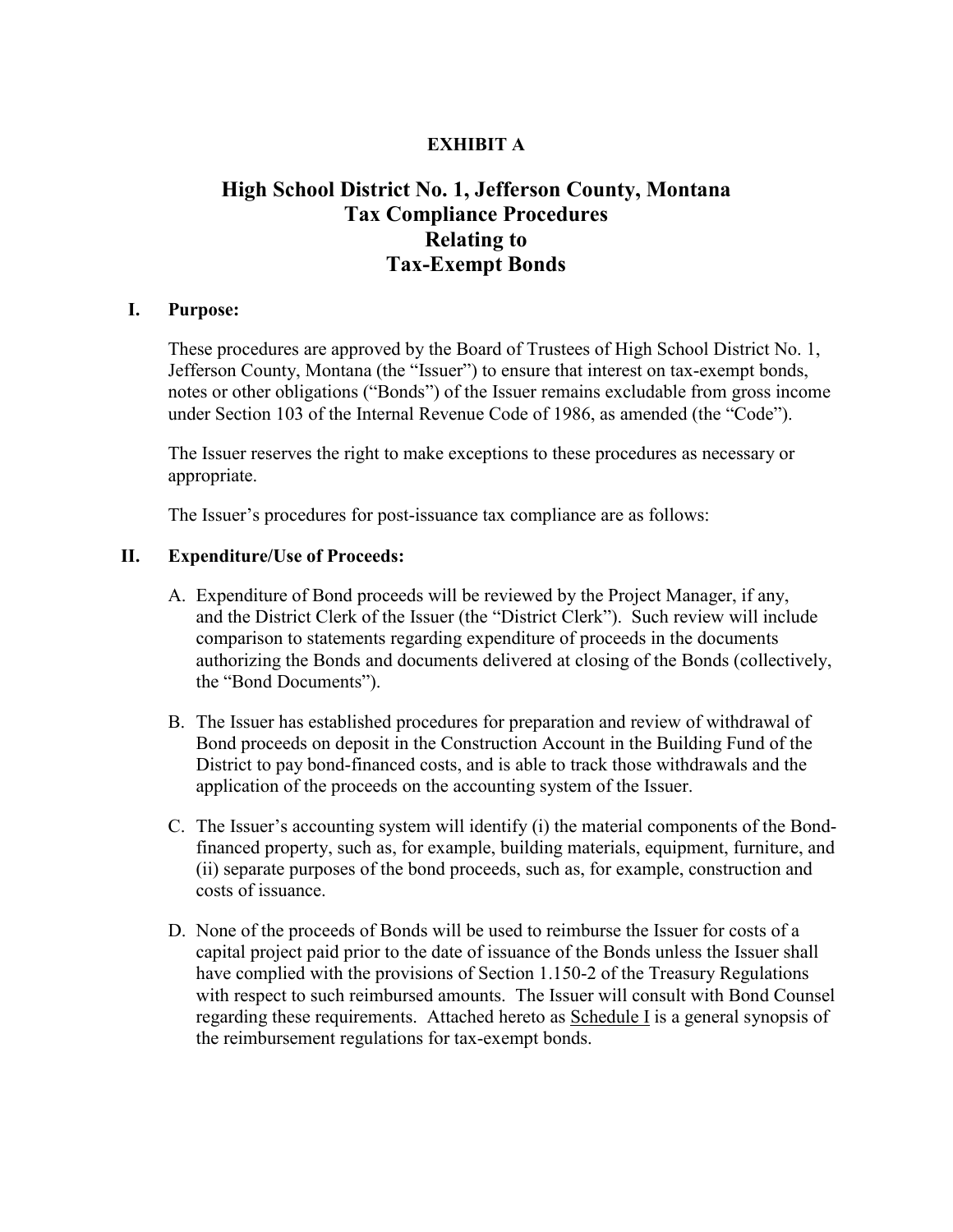# **EXHIBIT A**

# **High School District No. 1, Jefferson County, Montana Tax Compliance Procedures Relating to Tax-Exempt Bonds**

#### **I. Purpose:**

These procedures are approved by the Board of Trustees of High School District No. 1, Jefferson County, Montana (the "Issuer") to ensure that interest on tax-exempt bonds, notes or other obligations ("Bonds") of the Issuer remains excludable from gross income under Section 103 of the Internal Revenue Code of 1986, as amended (the "Code").

The Issuer reserves the right to make exceptions to these procedures as necessary or appropriate.

The Issuer's procedures for post-issuance tax compliance are as follows:

### **II. Expenditure/Use of Proceeds:**

- A. Expenditure of Bond proceeds will be reviewed by the Project Manager, if any, and the District Clerk of the Issuer (the "District Clerk"). Such review will include comparison to statements regarding expenditure of proceeds in the documents authorizing the Bonds and documents delivered at closing of the Bonds (collectively, the "Bond Documents").
- B. The Issuer has established procedures for preparation and review of withdrawal of Bond proceeds on deposit in the Construction Account in the Building Fund of the District to pay bond-financed costs, and is able to track those withdrawals and the application of the proceeds on the accounting system of the Issuer.
- C. The Issuer's accounting system will identify (i) the material components of the Bondfinanced property, such as, for example, building materials, equipment, furniture, and (ii) separate purposes of the bond proceeds, such as, for example, construction and costs of issuance.
- D. None of the proceeds of Bonds will be used to reimburse the Issuer for costs of a capital project paid prior to the date of issuance of the Bonds unless the Issuer shall have complied with the provisions of Section 1.150-2 of the Treasury Regulations with respect to such reimbursed amounts. The Issuer will consult with Bond Counsel regarding these requirements. Attached hereto as Schedule I is a general synopsis of the reimbursement regulations for tax-exempt bonds.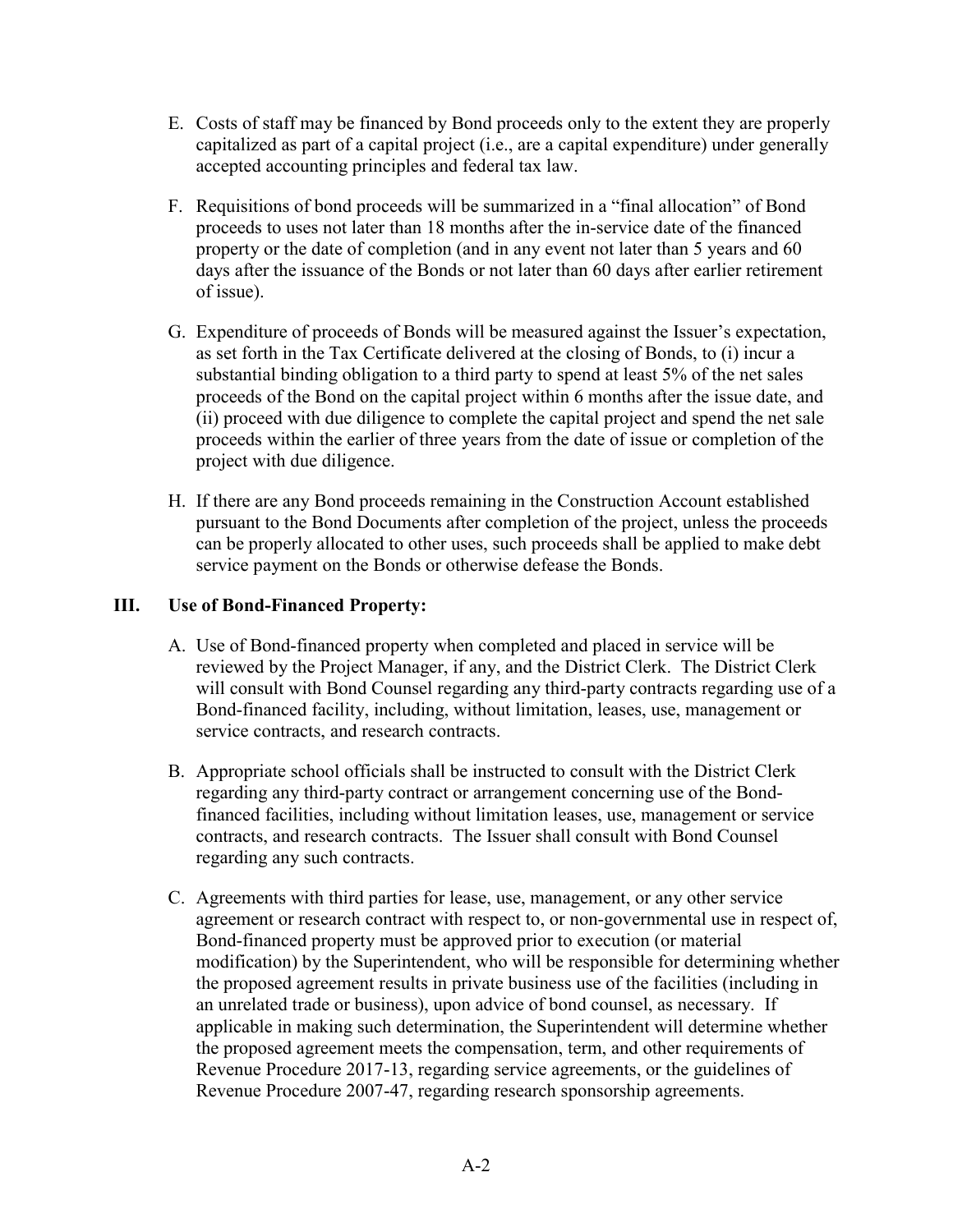- E. Costs of staff may be financed by Bond proceeds only to the extent they are properly capitalized as part of a capital project (i.e., are a capital expenditure) under generally accepted accounting principles and federal tax law.
- F. Requisitions of bond proceeds will be summarized in a "final allocation" of Bond proceeds to uses not later than 18 months after the in-service date of the financed property or the date of completion (and in any event not later than 5 years and 60 days after the issuance of the Bonds or not later than 60 days after earlier retirement of issue).
- G. Expenditure of proceeds of Bonds will be measured against the Issuer's expectation, as set forth in the Tax Certificate delivered at the closing of Bonds, to (i) incur a substantial binding obligation to a third party to spend at least 5% of the net sales proceeds of the Bond on the capital project within 6 months after the issue date, and (ii) proceed with due diligence to complete the capital project and spend the net sale proceeds within the earlier of three years from the date of issue or completion of the project with due diligence.
- H. If there are any Bond proceeds remaining in the Construction Account established pursuant to the Bond Documents after completion of the project, unless the proceeds can be properly allocated to other uses, such proceeds shall be applied to make debt service payment on the Bonds or otherwise defease the Bonds.

# **III. Use of Bond-Financed Property:**

- A. Use of Bond-financed property when completed and placed in service will be reviewed by the Project Manager, if any, and the District Clerk. The District Clerk will consult with Bond Counsel regarding any third-party contracts regarding use of a Bond-financed facility, including, without limitation, leases, use, management or service contracts, and research contracts.
- B. Appropriate school officials shall be instructed to consult with the District Clerk regarding any third-party contract or arrangement concerning use of the Bondfinanced facilities, including without limitation leases, use, management or service contracts, and research contracts. The Issuer shall consult with Bond Counsel regarding any such contracts.
- C. Agreements with third parties for lease, use, management, or any other service agreement or research contract with respect to, or non-governmental use in respect of, Bond-financed property must be approved prior to execution (or material modification) by the Superintendent, who will be responsible for determining whether the proposed agreement results in private business use of the facilities (including in an unrelated trade or business), upon advice of bond counsel, as necessary. If applicable in making such determination, the Superintendent will determine whether the proposed agreement meets the compensation, term, and other requirements of Revenue Procedure 2017-13, regarding service agreements, or the guidelines of Revenue Procedure 2007-47, regarding research sponsorship agreements.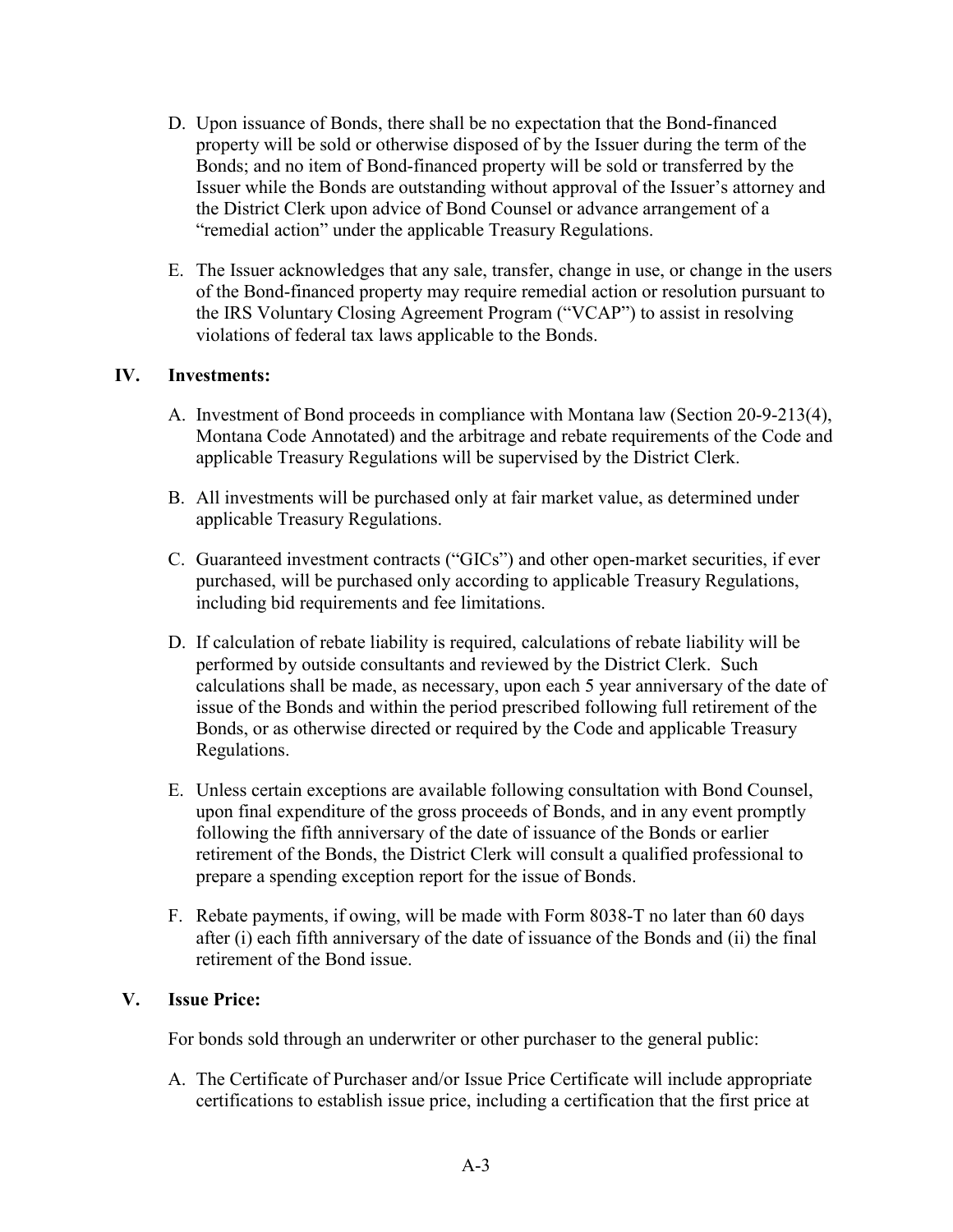- D. Upon issuance of Bonds, there shall be no expectation that the Bond-financed property will be sold or otherwise disposed of by the Issuer during the term of the Bonds; and no item of Bond-financed property will be sold or transferred by the Issuer while the Bonds are outstanding without approval of the Issuer's attorney and the District Clerk upon advice of Bond Counsel or advance arrangement of a "remedial action" under the applicable Treasury Regulations.
- E. The Issuer acknowledges that any sale, transfer, change in use, or change in the users of the Bond-financed property may require remedial action or resolution pursuant to the IRS Voluntary Closing Agreement Program ("VCAP") to assist in resolving violations of federal tax laws applicable to the Bonds.

### **IV. Investments:**

- A. Investment of Bond proceeds in compliance with Montana law (Section 20-9-213(4), Montana Code Annotated) and the arbitrage and rebate requirements of the Code and applicable Treasury Regulations will be supervised by the District Clerk.
- B. All investments will be purchased only at fair market value, as determined under applicable Treasury Regulations.
- C. Guaranteed investment contracts ("GICs") and other open-market securities, if ever purchased, will be purchased only according to applicable Treasury Regulations, including bid requirements and fee limitations.
- D. If calculation of rebate liability is required, calculations of rebate liability will be performed by outside consultants and reviewed by the District Clerk. Such calculations shall be made, as necessary, upon each 5 year anniversary of the date of issue of the Bonds and within the period prescribed following full retirement of the Bonds, or as otherwise directed or required by the Code and applicable Treasury Regulations.
- E. Unless certain exceptions are available following consultation with Bond Counsel, upon final expenditure of the gross proceeds of Bonds, and in any event promptly following the fifth anniversary of the date of issuance of the Bonds or earlier retirement of the Bonds, the District Clerk will consult a qualified professional to prepare a spending exception report for the issue of Bonds.
- F. Rebate payments, if owing, will be made with Form 8038-T no later than 60 days after (i) each fifth anniversary of the date of issuance of the Bonds and (ii) the final retirement of the Bond issue.

### **V. Issue Price:**

For bonds sold through an underwriter or other purchaser to the general public:

A. The Certificate of Purchaser and/or Issue Price Certificate will include appropriate certifications to establish issue price, including a certification that the first price at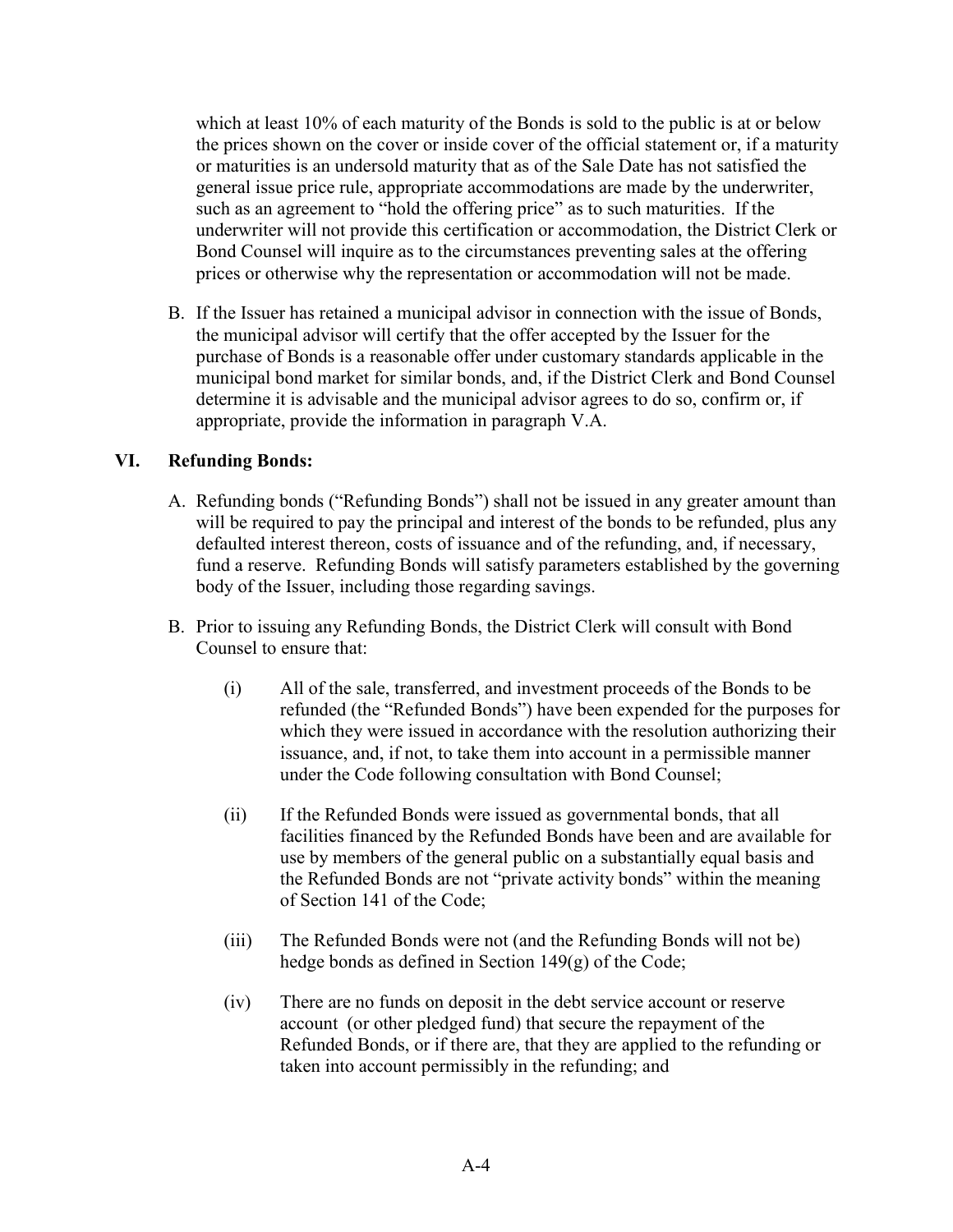which at least 10% of each maturity of the Bonds is sold to the public is at or below the prices shown on the cover or inside cover of the official statement or, if a maturity or maturities is an undersold maturity that as of the Sale Date has not satisfied the general issue price rule, appropriate accommodations are made by the underwriter, such as an agreement to "hold the offering price" as to such maturities. If the underwriter will not provide this certification or accommodation, the District Clerk or Bond Counsel will inquire as to the circumstances preventing sales at the offering prices or otherwise why the representation or accommodation will not be made.

B. If the Issuer has retained a municipal advisor in connection with the issue of Bonds, the municipal advisor will certify that the offer accepted by the Issuer for the purchase of Bonds is a reasonable offer under customary standards applicable in the municipal bond market for similar bonds, and, if the District Clerk and Bond Counsel determine it is advisable and the municipal advisor agrees to do so, confirm or, if appropriate, provide the information in paragraph V.A.

# **VI. Refunding Bonds:**

- A. Refunding bonds ("Refunding Bonds") shall not be issued in any greater amount than will be required to pay the principal and interest of the bonds to be refunded, plus any defaulted interest thereon, costs of issuance and of the refunding, and, if necessary, fund a reserve. Refunding Bonds will satisfy parameters established by the governing body of the Issuer, including those regarding savings.
- B. Prior to issuing any Refunding Bonds, the District Clerk will consult with Bond Counsel to ensure that:
	- (i) All of the sale, transferred, and investment proceeds of the Bonds to be refunded (the "Refunded Bonds") have been expended for the purposes for which they were issued in accordance with the resolution authorizing their issuance, and, if not, to take them into account in a permissible manner under the Code following consultation with Bond Counsel;
	- (ii) If the Refunded Bonds were issued as governmental bonds, that all facilities financed by the Refunded Bonds have been and are available for use by members of the general public on a substantially equal basis and the Refunded Bonds are not "private activity bonds" within the meaning of Section 141 of the Code;
	- (iii) The Refunded Bonds were not (and the Refunding Bonds will not be) hedge bonds as defined in Section 149(g) of the Code;
	- (iv) There are no funds on deposit in the debt service account or reserve account (or other pledged fund) that secure the repayment of the Refunded Bonds, or if there are, that they are applied to the refunding or taken into account permissibly in the refunding; and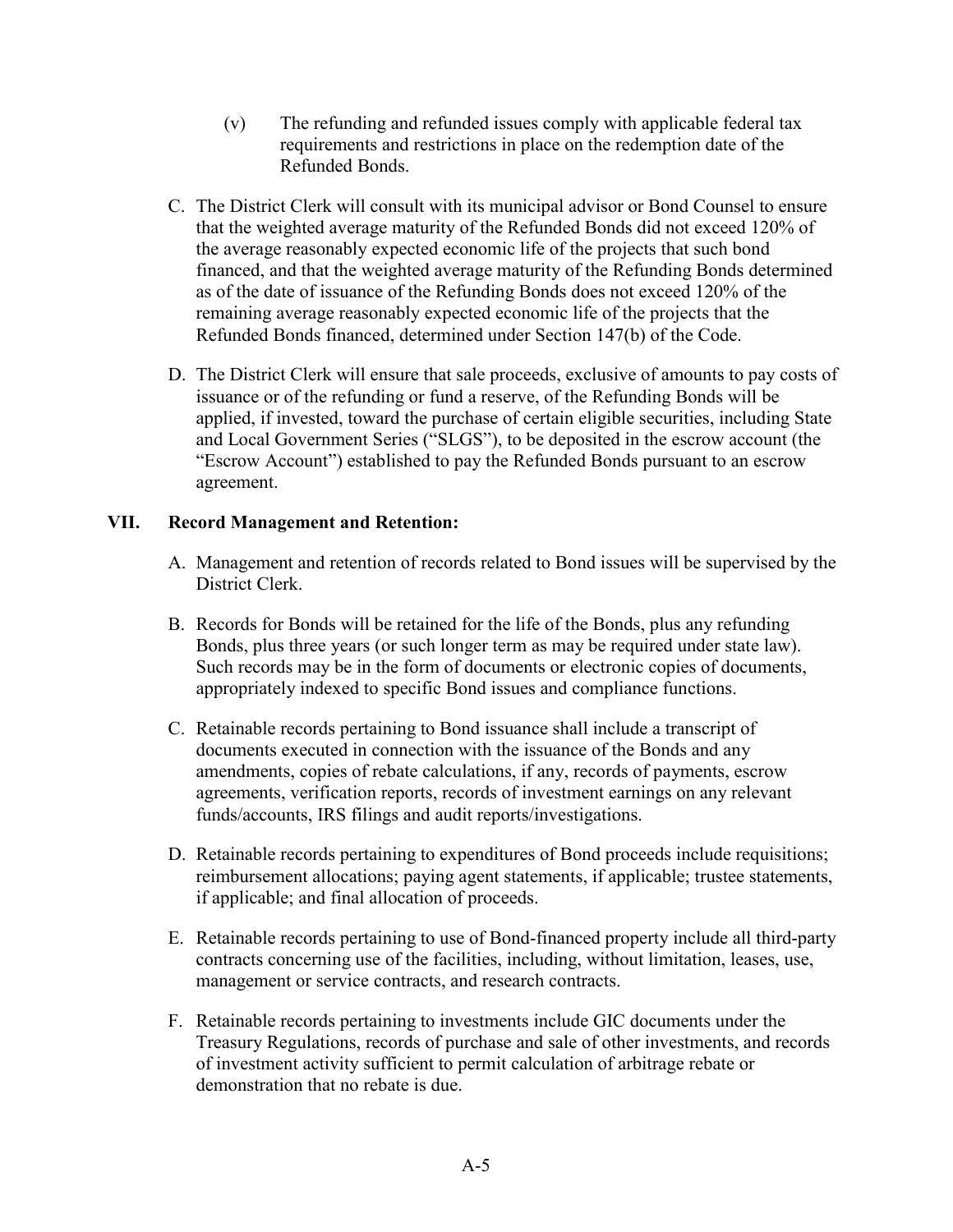- (v) The refunding and refunded issues comply with applicable federal tax requirements and restrictions in place on the redemption date of the Refunded Bonds.
- C. The District Clerk will consult with its municipal advisor or Bond Counsel to ensure that the weighted average maturity of the Refunded Bonds did not exceed 120% of the average reasonably expected economic life of the projects that such bond financed, and that the weighted average maturity of the Refunding Bonds determined as of the date of issuance of the Refunding Bonds does not exceed 120% of the remaining average reasonably expected economic life of the projects that the Refunded Bonds financed, determined under Section 147(b) of the Code.
- D. The District Clerk will ensure that sale proceeds, exclusive of amounts to pay costs of issuance or of the refunding or fund a reserve, of the Refunding Bonds will be applied, if invested, toward the purchase of certain eligible securities, including State and Local Government Series ("SLGS"), to be deposited in the escrow account (the "Escrow Account") established to pay the Refunded Bonds pursuant to an escrow agreement.

# **VII. Record Management and Retention:**

- A. Management and retention of records related to Bond issues will be supervised by the District Clerk.
- B. Records for Bonds will be retained for the life of the Bonds, plus any refunding Bonds, plus three years (or such longer term as may be required under state law). Such records may be in the form of documents or electronic copies of documents, appropriately indexed to specific Bond issues and compliance functions.
- C. Retainable records pertaining to Bond issuance shall include a transcript of documents executed in connection with the issuance of the Bonds and any amendments, copies of rebate calculations, if any, records of payments, escrow agreements, verification reports, records of investment earnings on any relevant funds/accounts, IRS filings and audit reports/investigations.
- D. Retainable records pertaining to expenditures of Bond proceeds include requisitions; reimbursement allocations; paying agent statements, if applicable; trustee statements, if applicable; and final allocation of proceeds.
- E. Retainable records pertaining to use of Bond-financed property include all third-party contracts concerning use of the facilities, including, without limitation, leases, use, management or service contracts, and research contracts.
- F. Retainable records pertaining to investments include GIC documents under the Treasury Regulations, records of purchase and sale of other investments, and records of investment activity sufficient to permit calculation of arbitrage rebate or demonstration that no rebate is due.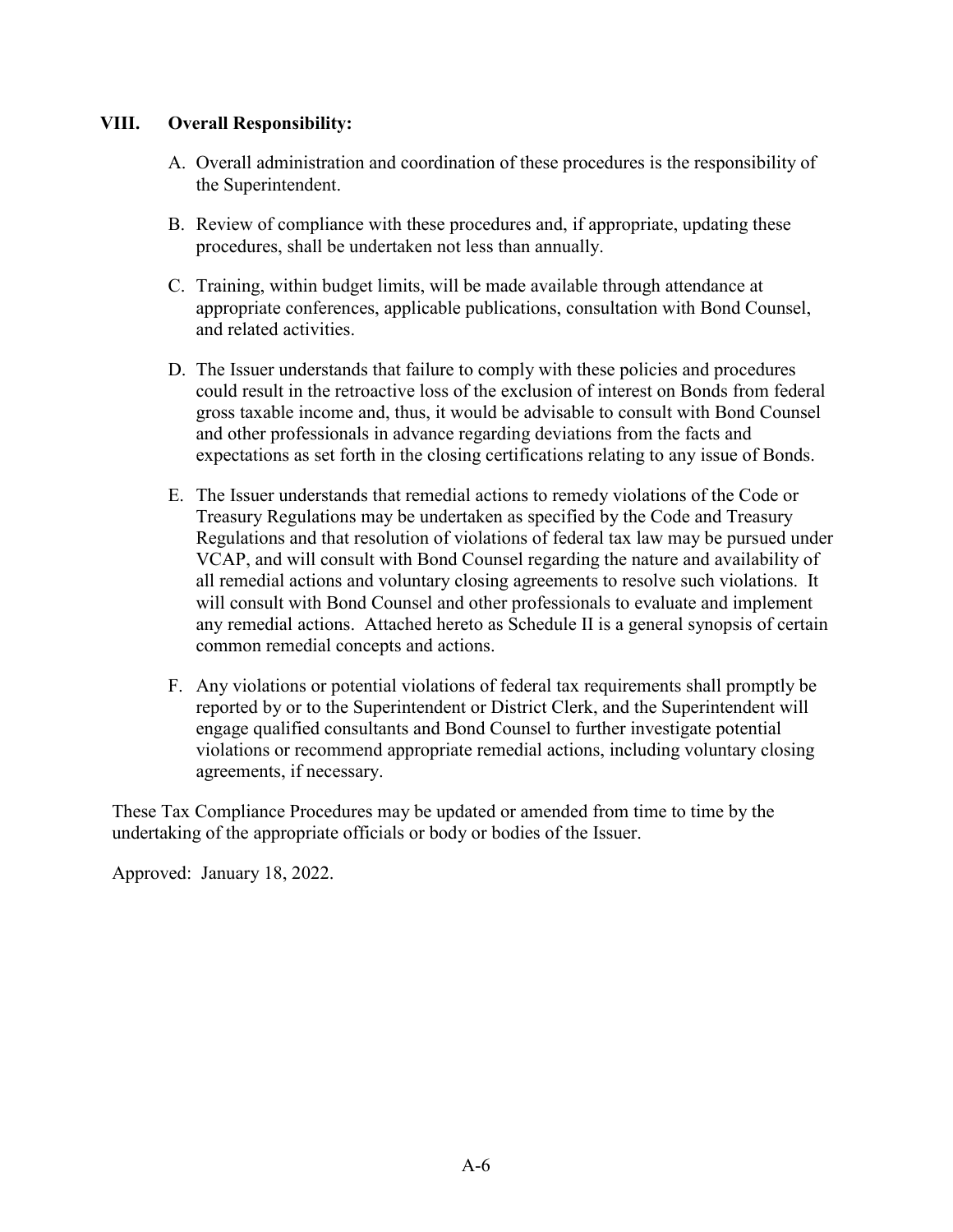# **VIII. Overall Responsibility:**

- A. Overall administration and coordination of these procedures is the responsibility of the Superintendent.
- B. Review of compliance with these procedures and, if appropriate, updating these procedures, shall be undertaken not less than annually.
- C. Training, within budget limits, will be made available through attendance at appropriate conferences, applicable publications, consultation with Bond Counsel, and related activities.
- D. The Issuer understands that failure to comply with these policies and procedures could result in the retroactive loss of the exclusion of interest on Bonds from federal gross taxable income and, thus, it would be advisable to consult with Bond Counsel and other professionals in advance regarding deviations from the facts and expectations as set forth in the closing certifications relating to any issue of Bonds.
- E. The Issuer understands that remedial actions to remedy violations of the Code or Treasury Regulations may be undertaken as specified by the Code and Treasury Regulations and that resolution of violations of federal tax law may be pursued under VCAP, and will consult with Bond Counsel regarding the nature and availability of all remedial actions and voluntary closing agreements to resolve such violations. It will consult with Bond Counsel and other professionals to evaluate and implement any remedial actions. Attached hereto as Schedule II is a general synopsis of certain common remedial concepts and actions.
- F. Any violations or potential violations of federal tax requirements shall promptly be reported by or to the Superintendent or District Clerk, and the Superintendent will engage qualified consultants and Bond Counsel to further investigate potential violations or recommend appropriate remedial actions, including voluntary closing agreements, if necessary.

These Tax Compliance Procedures may be updated or amended from time to time by the undertaking of the appropriate officials or body or bodies of the Issuer.

Approved: January 18, 2022.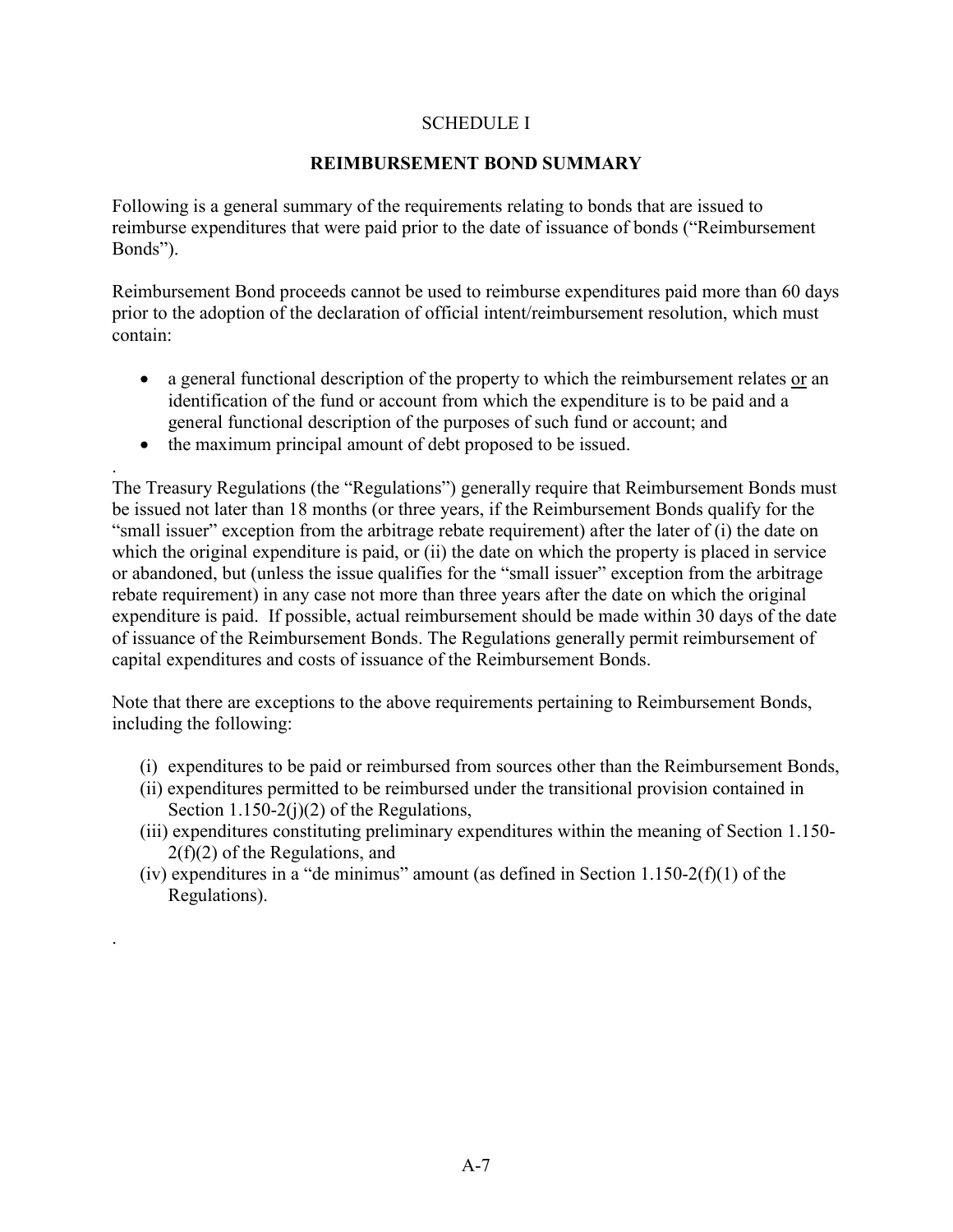### SCHEDULE I

### **REIMBURSEMENT BOND SUMMARY**

Following is a general summary of the requirements relating to bonds that are issued to reimburse expenditures that were paid prior to the date of issuance of bonds ("Reimbursement Bonds").

Reimbursement Bond proceeds cannot be used to reimburse expenditures paid more than 60 days prior to the adoption of the declaration of official intent/reimbursement resolution, which must contain:

- a general functional description of the property to which the reimbursement relates or an identification of the fund or account from which the expenditure is to be paid and a general functional description of the purposes of such fund or account; and
- the maximum principal amount of debt proposed to be issued.

. The Treasury Regulations (the "Regulations") generally require that Reimbursement Bonds must be issued not later than 18 months (or three years, if the Reimbursement Bonds qualify for the "small issuer" exception from the arbitrage rebate requirement) after the later of (i) the date on which the original expenditure is paid, or (ii) the date on which the property is placed in service or abandoned, but (unless the issue qualifies for the "small issuer" exception from the arbitrage rebate requirement) in any case not more than three years after the date on which the original expenditure is paid. If possible, actual reimbursement should be made within 30 days of the date of issuance of the Reimbursement Bonds. The Regulations generally permit reimbursement of capital expenditures and costs of issuance of the Reimbursement Bonds.

Note that there are exceptions to the above requirements pertaining to Reimbursement Bonds, including the following:

- (i) expenditures to be paid or reimbursed from sources other than the Reimbursement Bonds,
- (ii) expenditures permitted to be reimbursed under the transitional provision contained in Section  $1.150-2(j)(2)$  of the Regulations,
- (iii) expenditures constituting preliminary expenditures within the meaning of Section 1.150- 2(f)(2) of the Regulations, and
- (iv) expenditures in a "de minimus" amount (as defined in Section  $1.150-2(f)(1)$  of the Regulations).

.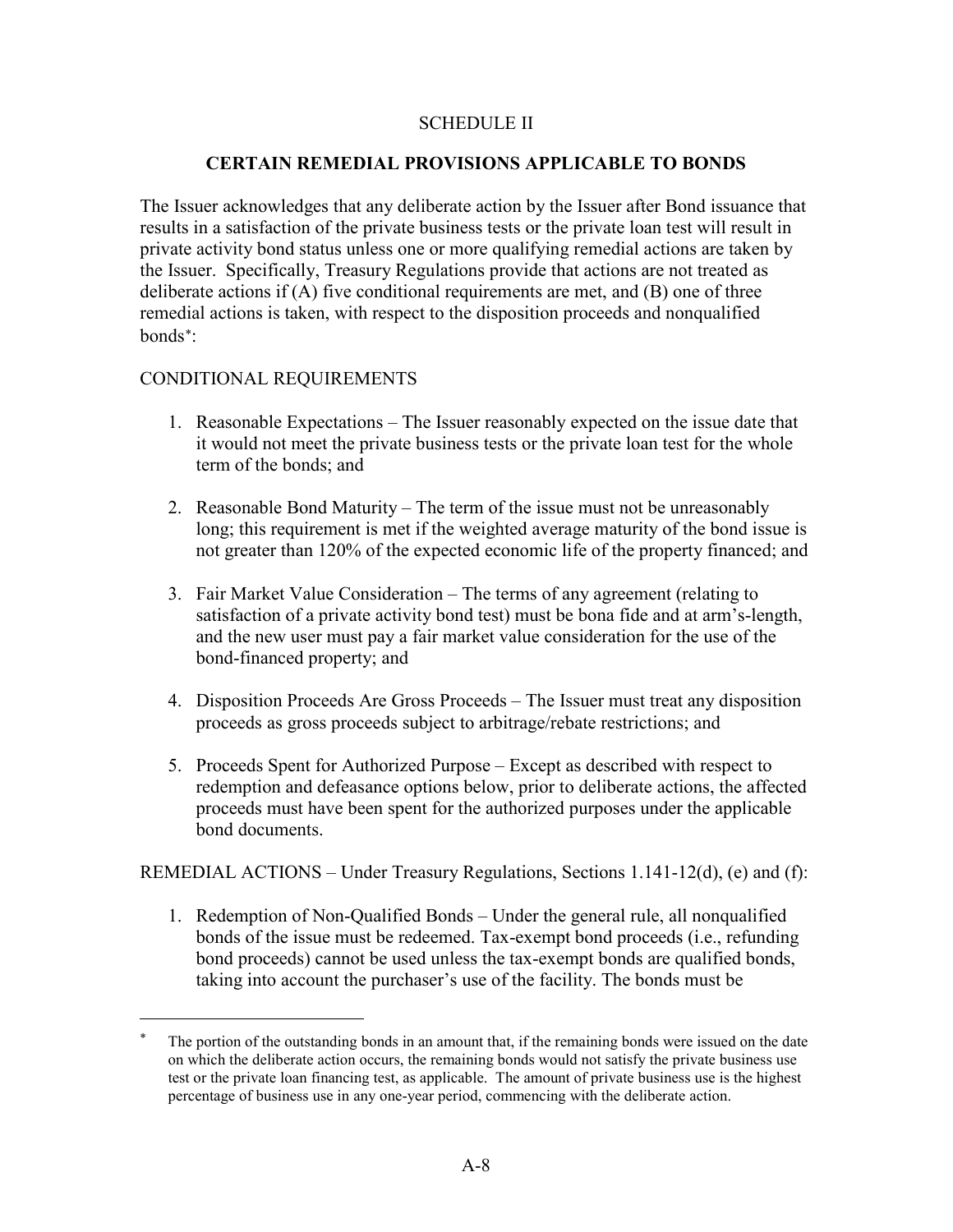### SCHEDULE II

#### **CERTAIN REMEDIAL PROVISIONS APPLICABLE TO BONDS**

The Issuer acknowledges that any deliberate action by the Issuer after Bond issuance that results in a satisfaction of the private business tests or the private loan test will result in private activity bond status unless one or more qualifying remedial actions are taken by the Issuer. Specifically, Treasury Regulations provide that actions are not treated as deliberate actions if (A) five conditional requirements are met, and (B) one of three remedial actions is taken, with respect to the disposition proceeds and nonqualified bonds[∗](#page-9-0) :

#### CONDITIONAL REQUIREMENTS

 $\overline{a}$ 

- 1. Reasonable Expectations The Issuer reasonably expected on the issue date that it would not meet the private business tests or the private loan test for the whole term of the bonds; and
- 2. Reasonable Bond Maturity The term of the issue must not be unreasonably long; this requirement is met if the weighted average maturity of the bond issue is not greater than 120% of the expected economic life of the property financed; and
- 3. Fair Market Value Consideration The terms of any agreement (relating to satisfaction of a private activity bond test) must be bona fide and at arm's-length, and the new user must pay a fair market value consideration for the use of the bond-financed property; and
- 4. Disposition Proceeds Are Gross Proceeds The Issuer must treat any disposition proceeds as gross proceeds subject to arbitrage/rebate restrictions; and
- 5. Proceeds Spent for Authorized Purpose Except as described with respect to redemption and defeasance options below, prior to deliberate actions, the affected proceeds must have been spent for the authorized purposes under the applicable bond documents.

REMEDIAL ACTIONS – Under Treasury Regulations, Sections 1.141-12(d), (e) and (f):

1. Redemption of Non-Qualified Bonds – Under the general rule, all nonqualified bonds of the issue must be redeemed. Tax-exempt bond proceeds (i.e., refunding bond proceeds) cannot be used unless the tax-exempt bonds are qualified bonds, taking into account the purchaser's use of the facility. The bonds must be

<span id="page-9-0"></span>The portion of the outstanding bonds in an amount that, if the remaining bonds were issued on the date on which the deliberate action occurs, the remaining bonds would not satisfy the private business use test or the private loan financing test, as applicable. The amount of private business use is the highest percentage of business use in any one-year period, commencing with the deliberate action.